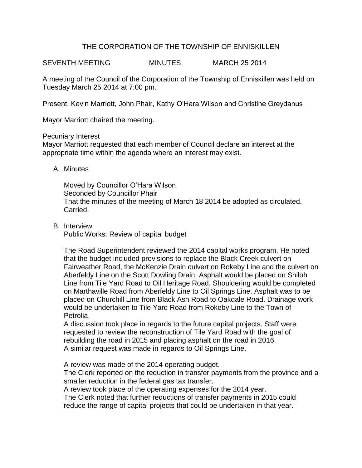## THE CORPORATION OF THE TOWNSHIP OF ENNISKILLEN

SEVENTH MEETING MINUTES MARCH 25 2014

A meeting of the Council of the Corporation of the Township of Enniskillen was held on Tuesday March 25 2014 at 7:00 pm.

Present: Kevin Marriott, John Phair, Kathy O'Hara Wilson and Christine Greydanus

Mayor Marriott chaired the meeting.

## Pecuniary Interest

Mayor Marriott requested that each member of Council declare an interest at the appropriate time within the agenda where an interest may exist.

## A. Minutes

Moved by Councillor O'Hara Wilson Seconded by Councillor Phair That the minutes of the meeting of March 18 2014 be adopted as circulated. Carried.

B. Interview

Public Works: Review of capital budget

The Road Superintendent reviewed the 2014 capital works program. He noted that the budget included provisions to replace the Black Creek culvert on Fairweather Road, the McKenzie Drain culvert on Rokeby Line and the culvert on Aberfeldy Line on the Scott Dowling Drain. Asphalt would be placed on Shiloh Line from Tile Yard Road to Oil Heritage Road. Shouldering would be completed on Marthaville Road from Aberfeldy Line to Oil Springs Line. Asphalt was to be placed on Churchill Line from Black Ash Road to Oakdale Road. Drainage work would be undertaken to Tile Yard Road from Rokeby Line to the Town of Petrolia.

A discussion took place in regards to the future capital projects. Staff were requested to review the reconstruction of Tile Yard Road with the goal of rebuilding the road in 2015 and placing asphalt on the road in 2016. A similar request was made in regards to Oil Springs Line.

A review was made of the 2014 operating budget.

The Clerk reported on the reduction in transfer payments from the province and a smaller reduction in the federal gas tax transfer.

A review took place of the operating expenses for the 2014 year.

The Clerk noted that further reductions of transfer payments in 2015 could reduce the range of capital projects that could be undertaken in that year.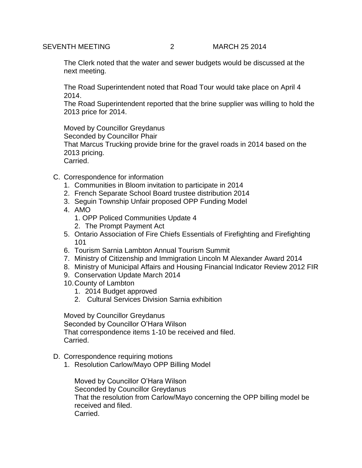The Clerk noted that the water and sewer budgets would be discussed at the next meeting.

The Road Superintendent noted that Road Tour would take place on April 4 2014.

The Road Superintendent reported that the brine supplier was willing to hold the 2013 price for 2014.

Moved by Councillor Greydanus

Seconded by Councillor Phair

That Marcus Trucking provide brine for the gravel roads in 2014 based on the 2013 pricing.

Carried.

- C. Correspondence for information
	- 1. Communities in Bloom invitation to participate in 2014
	- 2. French Separate School Board trustee distribution 2014
	- 3. Seguin Township Unfair proposed OPP Funding Model
	- 4. AMO
		- 1. OPP Policed Communities Update 4
		- 2. The Prompt Payment Act
	- 5. Ontario Association of Fire Chiefs Essentials of Firefighting and Firefighting 101
	- 6. Tourism Sarnia Lambton Annual Tourism Summit
	- 7. Ministry of Citizenship and Immigration Lincoln M Alexander Award 2014
	- 8. Ministry of Municipal Affairs and Housing Financial Indicator Review 2012 FIR
	- 9. Conservation Update March 2014
	- 10.County of Lambton
		- 1. 2014 Budget approved
		- 2. Cultural Services Division Sarnia exhibition

Moved by Councillor Greydanus Seconded by Councillor O'Hara Wilson That correspondence items 1-10 be received and filed. Carried.

- D. Correspondence requiring motions
	- 1. Resolution Carlow/Mayo OPP Billing Model

Moved by Councillor O'Hara Wilson Seconded by Councillor Greydanus That the resolution from Carlow/Mayo concerning the OPP billing model be received and filed. Carried.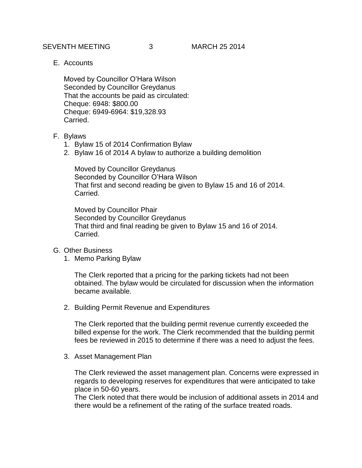SEVENTH MEETING 3 MARCH 25 2014

E. Accounts

Moved by Councillor O'Hara Wilson Seconded by Councillor Greydanus That the accounts be paid as circulated: Cheque: 6948: \$800.00 Cheque: 6949-6964: \$19,328.93 Carried.

- F. Bylaws
	- 1. Bylaw 15 of 2014 Confirmation Bylaw
	- 2. Bylaw 16 of 2014 A bylaw to authorize a building demolition

Moved by Councillor Greydanus Seconded by Councillor O'Hara Wilson That first and second reading be given to Bylaw 15 and 16 of 2014. Carried.

Moved by Councillor Phair Seconded by Councillor Greydanus That third and final reading be given to Bylaw 15 and 16 of 2014. Carried.

- G. Other Business
	- 1. Memo Parking Bylaw

The Clerk reported that a pricing for the parking tickets had not been obtained. The bylaw would be circulated for discussion when the information became available.

2. Building Permit Revenue and Expenditures

The Clerk reported that the building permit revenue currently exceeded the billed expense for the work. The Clerk recommended that the building permit fees be reviewed in 2015 to determine if there was a need to adjust the fees.

3. Asset Management Plan

The Clerk reviewed the asset management plan. Concerns were expressed in regards to developing reserves for expenditures that were anticipated to take place in 50-60 years.

The Clerk noted that there would be inclusion of additional assets in 2014 and there would be a refinement of the rating of the surface treated roads.